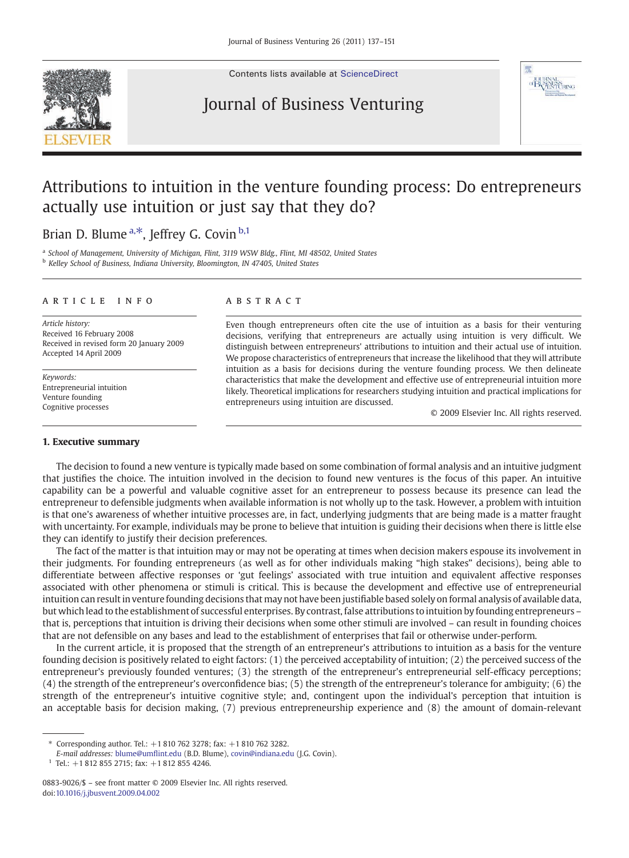

Contents lists available at [ScienceDirect](http://www.sciencedirect.com/science/journal/08839026)

# Journal of Business Venturing



# Attributions to intuition in the venture founding process: Do entrepreneurs actually use intuition or just say that they do?

Brian D. Blume<sup>a,\*</sup>, Jeffrey G. Covin<sup>b,1</sup>

a School of Management, University of Michigan, Flint, 3119 WSW Bldg., Flint, MI 48502, United States **b** Kelley School of Business, Indiana University, Bloomington, IN 47405, United States

#### article info abstract

Article history: Received 16 February 2008 Received in revised form 20 January 2009 Accepted 14 April 2009

Keywords: Entrepreneurial intuition Venture founding Cognitive processes

#### 1. Executive summary

Even though entrepreneurs often cite the use of intuition as a basis for their venturing decisions, verifying that entrepreneurs are actually using intuition is very difficult. We distinguish between entrepreneurs' attributions to intuition and their actual use of intuition. We propose characteristics of entrepreneurs that increase the likelihood that they will attribute intuition as a basis for decisions during the venture founding process. We then delineate characteristics that make the development and effective use of entrepreneurial intuition more likely. Theoretical implications for researchers studying intuition and practical implications for entrepreneurs using intuition are discussed.

© 2009 Elsevier Inc. All rights reserved.

The decision to found a new venture is typically made based on some combination of formal analysis and an intuitive judgment that justifies the choice. The intuition involved in the decision to found new ventures is the focus of this paper. An intuitive capability can be a powerful and valuable cognitive asset for an entrepreneur to possess because its presence can lead the entrepreneur to defensible judgments when available information is not wholly up to the task. However, a problem with intuition is that one's awareness of whether intuitive processes are, in fact, underlying judgments that are being made is a matter fraught with uncertainty. For example, individuals may be prone to believe that intuition is guiding their decisions when there is little else they can identify to justify their decision preferences.

The fact of the matter is that intuition may or may not be operating at times when decision makers espouse its involvement in their judgments. For founding entrepreneurs (as well as for other individuals making "high stakes" decisions), being able to differentiate between affective responses or 'gut feelings' associated with true intuition and equivalent affective responses associated with other phenomena or stimuli is critical. This is because the development and effective use of entrepreneurial intuition can result in venture founding decisions that may not have been justifiable based solely on formal analysis of available data, but which lead to the establishment of successful enterprises. By contrast, false attributions to intuition by founding entrepreneurs – that is, perceptions that intuition is driving their decisions when some other stimuli are involved – can result in founding choices that are not defensible on any bases and lead to the establishment of enterprises that fail or otherwise under-perform.

In the current article, it is proposed that the strength of an entrepreneur's attributions to intuition as a basis for the venture founding decision is positively related to eight factors: (1) the perceived acceptability of intuition; (2) the perceived success of the entrepreneur's previously founded ventures; (3) the strength of the entrepreneur's entrepreneurial self-efficacy perceptions; (4) the strength of the entrepreneur's overconfidence bias; (5) the strength of the entrepreneur's tolerance for ambiguity; (6) the strength of the entrepreneur's intuitive cognitive style; and, contingent upon the individual's perception that intuition is an acceptable basis for decision making, (7) previous entrepreneurship experience and (8) the amount of domain-relevant

<sup>⁎</sup> Corresponding author. Tel.: +1 810 762 3278; fax: +1 810 762 3282.

E-mail addresses: [blume@um](mailto:blume@umflint.edu)flint.edu (B.D. Blume), [covin@indiana.edu](mailto:covin@indiana.edu) (J.G. Covin).

 $1$  Tel.: +1 812 855 2715; fax: +1 812 855 4246.

<sup>0883-9026/\$</sup> – see front matter © 2009 Elsevier Inc. All rights reserved. doi[:10.1016/j.jbusvent.2009.04.002](http://dx.doi.org/10.1016/j.jbusvent.2009.04.002)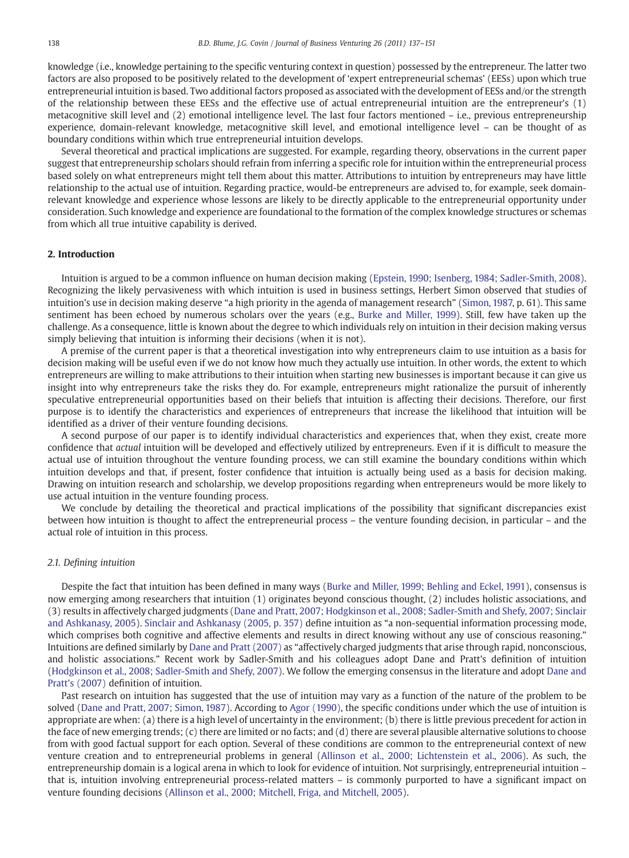knowledge (i.e., knowledge pertaining to the specific venturing context in question) possessed by the entrepreneur. The latter two factors are also proposed to be positively related to the development of 'expert entrepreneurial schemas' (EESs) upon which true entrepreneurial intuition is based. Two additional factors proposed as associated with the development of EESs and/or the strength of the relationship between these EESs and the effective use of actual entrepreneurial intuition are the entrepreneur's (1) metacognitive skill level and (2) emotional intelligence level. The last four factors mentioned – i.e., previous entrepreneurship experience, domain-relevant knowledge, metacognitive skill level, and emotional intelligence level – can be thought of as boundary conditions within which true entrepreneurial intuition develops.

Several theoretical and practical implications are suggested. For example, regarding theory, observations in the current paper suggest that entrepreneurship scholars should refrain from inferring a specific role for intuition within the entrepreneurial process based solely on what entrepreneurs might tell them about this matter. Attributions to intuition by entrepreneurs may have little relationship to the actual use of intuition. Regarding practice, would-be entrepreneurs are advised to, for example, seek domainrelevant knowledge and experience whose lessons are likely to be directly applicable to the entrepreneurial opportunity under consideration. Such knowledge and experience are foundational to the formation of the complex knowledge structures or schemas from which all true intuitive capability is derived.

# 2. Introduction

Intuition is argued to be a common influence on human decision making [\(Epstein, 1990; Isenberg, 1984; Sadler-Smith, 2008](#page-12-0)). Recognizing the likely pervasiveness with which intuition is used in business settings, Herbert Simon observed that studies of intuition's use in decision making deserve "a high priority in the agenda of management research" [\(Simon, 1987,](#page-14-0) p. 61). This same sentiment has been echoed by numerous scholars over the years (e.g., [Burke and Miller, 1999\)](#page-12-0). Still, few have taken up the challenge. As a consequence, little is known about the degree to which individuals rely on intuition in their decision making versus simply believing that intuition is informing their decisions (when it is not).

A premise of the current paper is that a theoretical investigation into why entrepreneurs claim to use intuition as a basis for decision making will be useful even if we do not know how much they actually use intuition. In other words, the extent to which entrepreneurs are willing to make attributions to their intuition when starting new businesses is important because it can give us insight into why entrepreneurs take the risks they do. For example, entrepreneurs might rationalize the pursuit of inherently speculative entrepreneurial opportunities based on their beliefs that intuition is affecting their decisions. Therefore, our first purpose is to identify the characteristics and experiences of entrepreneurs that increase the likelihood that intuition will be identified as a driver of their venture founding decisions.

A second purpose of our paper is to identify individual characteristics and experiences that, when they exist, create more confidence that actual intuition will be developed and effectively utilized by entrepreneurs. Even if it is difficult to measure the actual use of intuition throughout the venture founding process, we can still examine the boundary conditions within which intuition develops and that, if present, foster confidence that intuition is actually being used as a basis for decision making. Drawing on intuition research and scholarship, we develop propositions regarding when entrepreneurs would be more likely to use actual intuition in the venture founding process.

We conclude by detailing the theoretical and practical implications of the possibility that significant discrepancies exist between how intuition is thought to affect the entrepreneurial process – the venture founding decision, in particular – and the actual role of intuition in this process.

#### 2.1. Defining intuition

Despite the fact that intuition has been defined in many ways ([Burke and Miller, 1999; Behling and Eckel, 1991\)](#page-12-0), consensus is now emerging among researchers that intuition (1) originates beyond conscious thought, (2) includes holistic associations, and (3) results in affectively charged judgments ([Dane and Pratt, 2007; Hodgkinson et al., 2008; Sadler-Smith and Shefy, 2007; Sinclair](#page-12-0) [and Ashkanasy, 2005\)](#page-12-0). [Sinclair and Ashkanasy \(2005, p. 357\)](#page-14-0) define intuition as "a non-sequential information processing mode, which comprises both cognitive and affective elements and results in direct knowing without any use of conscious reasoning." Intuitions are defined similarly by Dane [and Pratt \(2007\)](#page-12-0) as "affectively charged judgments that arise through rapid, nonconscious, and holistic associations." Recent work by Sadler-Smith and his colleagues adopt Dane and Pratt's definition of intuition ([Hodgkinson et al., 2008; Sadler-Smith and Shefy, 2007\)](#page-13-0). We follow the emerging consensus in the literature and adopt [Dane and](#page-12-0) [Pratt's \(2007\)](#page-12-0) definition of intuition.

Past research on intuition has suggested that the use of intuition may vary as a function of the nature of the problem to be solved [\(Dane and Pratt, 2007; Simon, 1987](#page-12-0)). According to [Agor \(1990\),](#page-12-0) the specific conditions under which the use of intuition is appropriate are when: (a) there is a high level of uncertainty in the environment; (b) there is little previous precedent for action in the face of new emerging trends; (c) there are limited or no facts; and (d) there are several plausible alternative solutions to choose from with good factual support for each option. Several of these conditions are common to the entrepreneurial context of new venture creation and to entrepreneurial problems in general ([Allinson et al., 2000; Lichtenstein et al., 2006\)](#page-12-0). As such, the entrepreneurship domain is a logical arena in which to look for evidence of intuition. Not surprisingly, entrepreneurial intuition – that is, intuition involving entrepreneurial process-related matters – is commonly purported to have a significant impact on venture founding decisions [\(Allinson et al., 2000; Mitchell, Friga, and Mitchell, 2005](#page-12-0)).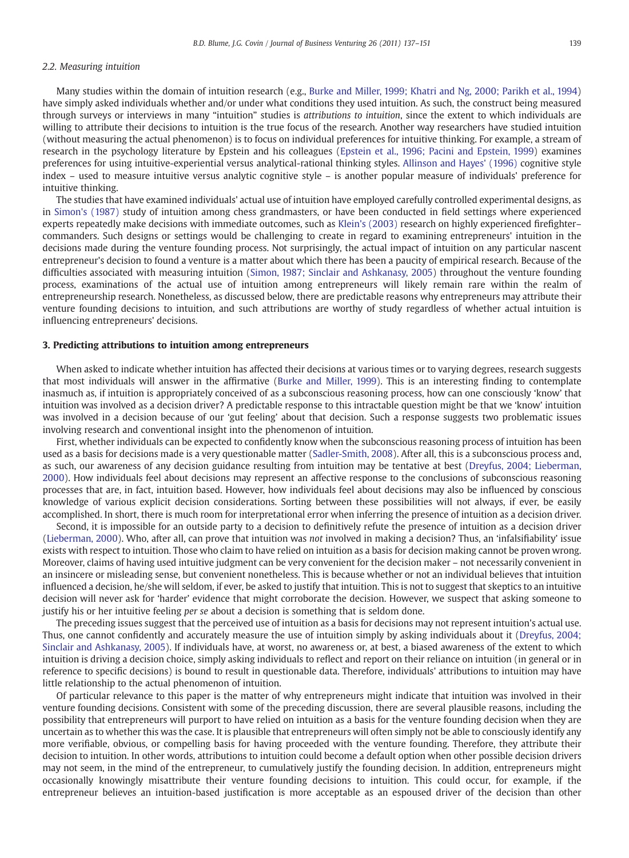# 2.2. Measuring intuition

Many studies within the domain of intuition research (e.g., [Burke and Miller, 1999; Khatri and Ng, 2000; Parikh et al., 1994\)](#page-12-0) have simply asked individuals whether and/or under what conditions they used intuition. As such, the construct being measured through surveys or interviews in many "intuition" studies is attributions to intuition, since the extent to which individuals are willing to attribute their decisions to intuition is the true focus of the research. Another way researchers have studied intuition (without measuring the actual phenomenon) is to focus on individual preferences for intuitive thinking. For example, a stream of research in the psychology literature by Epstein and his colleagues [\(Epstein et al., 1996; Pacini and Epstein, 1999\)](#page-12-0) examines preferences for using intuitive-experiential versus analytical-rational thinking styles. [Allinson and Hayes' \(1996\)](#page-12-0) cognitive style index – used to measure intuitive versus analytic cognitive style – is another popular measure of individuals' preference for intuitive thinking.

The studies that have examined individuals' actual use of intuition have employed carefully controlled experimental designs, as in [Simon's \(1987\)](#page-14-0) study of intuition among chess grandmasters, or have been conducted in field settings where experienced experts repeatedly make decisions with immediate outcomes, such as [Klein's \(2003\)](#page-13-0) research on highly experienced firefighter– commanders. Such designs or settings would be challenging to create in regard to examining entrepreneurs' intuition in the decisions made during the venture founding process. Not surprisingly, the actual impact of intuition on any particular nascent entrepreneur's decision to found a venture is a matter about which there has been a paucity of empirical research. Because of the difficulties associated with measuring intuition ([Simon, 1987; Sinclair and Ashkanasy, 2005](#page-14-0)) throughout the venture founding process, examinations of the actual use of intuition among entrepreneurs will likely remain rare within the realm of entrepreneurship research. Nonetheless, as discussed below, there are predictable reasons why entrepreneurs may attribute their venture founding decisions to intuition, and such attributions are worthy of study regardless of whether actual intuition is influencing entrepreneurs' decisions.

#### 3. Predicting attributions to intuition among entrepreneurs

When asked to indicate whether intuition has affected their decisions at various times or to varying degrees, research suggests that most individuals will answer in the affirmative [\(Burke and Miller, 1999\)](#page-12-0). This is an interesting finding to contemplate inasmuch as, if intuition is appropriately conceived of as a subconscious reasoning process, how can one consciously 'know' that intuition was involved as a decision driver? A predictable response to this intractable question might be that we 'know' intuition was involved in a decision because of our 'gut feeling' about that decision. Such a response suggests two problematic issues involving research and conventional insight into the phenomenon of intuition.

First, whether individuals can be expected to confidently know when the subconscious reasoning process of intuition has been used as a basis for decisions made is a very questionable matter ([Sadler-Smith, 2008\)](#page-13-0). After all, this is a subconscious process and, as such, our awareness of any decision guidance resulting from intuition may be tentative at best ([Dreyfus, 2004; Lieberman,](#page-12-0) [2000\)](#page-12-0). How individuals feel about decisions may represent an affective response to the conclusions of subconscious reasoning processes that are, in fact, intuition based. However, how individuals feel about decisions may also be influenced by conscious knowledge of various explicit decision considerations. Sorting between these possibilities will not always, if ever, be easily accomplished. In short, there is much room for interpretational error when inferring the presence of intuition as a decision driver.

Second, it is impossible for an outside party to a decision to definitively refute the presence of intuition as a decision driver [\(Lieberman, 2000\)](#page-13-0). Who, after all, can prove that intuition was not involved in making a decision? Thus, an 'infalsifiability' issue exists with respect to intuition. Those who claim to have relied on intuition as a basis for decision making cannot be proven wrong. Moreover, claims of having used intuitive judgment can be very convenient for the decision maker – not necessarily convenient in an insincere or misleading sense, but convenient nonetheless. This is because whether or not an individual believes that intuition influenced a decision, he/she will seldom, if ever, be asked to justify that intuition. This is not to suggest that skeptics to an intuitive decision will never ask for 'harder' evidence that might corroborate the decision. However, we suspect that asking someone to justify his or her intuitive feeling per se about a decision is something that is seldom done.

The preceding issues suggest that the perceived use of intuition as a basis for decisions may not represent intuition's actual use. Thus, one cannot confidently and accurately measure the use of intuition simply by asking individuals about it [\(Dreyfus, 2004;](#page-12-0) [Sinclair and Ashkanasy, 2005](#page-12-0)). If individuals have, at worst, no awareness or, at best, a biased awareness of the extent to which intuition is driving a decision choice, simply asking individuals to reflect and report on their reliance on intuition (in general or in reference to specific decisions) is bound to result in questionable data. Therefore, individuals' attributions to intuition may have little relationship to the actual phenomenon of intuition.

Of particular relevance to this paper is the matter of why entrepreneurs might indicate that intuition was involved in their venture founding decisions. Consistent with some of the preceding discussion, there are several plausible reasons, including the possibility that entrepreneurs will purport to have relied on intuition as a basis for the venture founding decision when they are uncertain as to whether this was the case. It is plausible that entrepreneurs will often simply not be able to consciously identify any more verifiable, obvious, or compelling basis for having proceeded with the venture founding. Therefore, they attribute their decision to intuition. In other words, attributions to intuition could become a default option when other possible decision drivers may not seem, in the mind of the entrepreneur, to cumulatively justify the founding decision. In addition, entrepreneurs might occasionally knowingly misattribute their venture founding decisions to intuition. This could occur, for example, if the entrepreneur believes an intuition-based justification is more acceptable as an espoused driver of the decision than other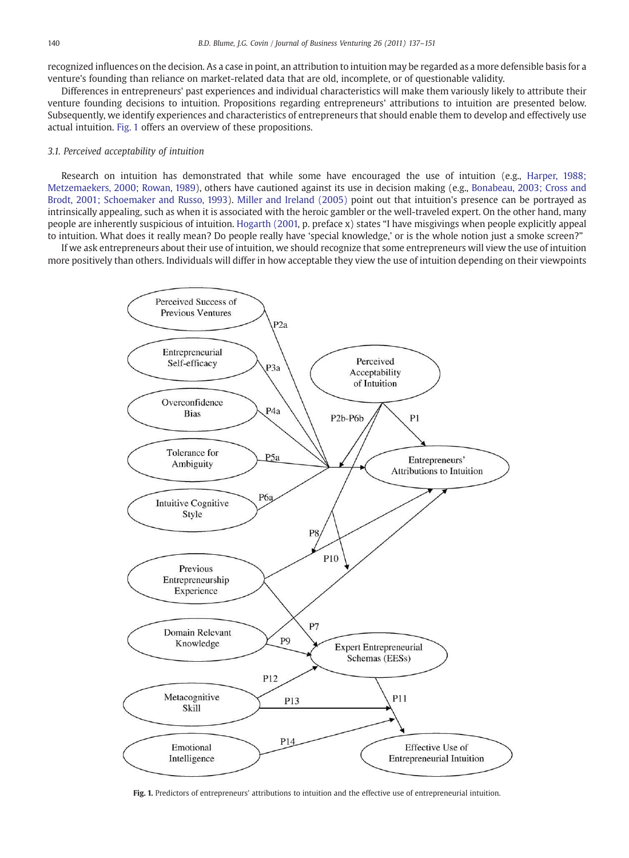recognized influences on the decision. As a case in point, an attribution to intuition may be regarded as a more defensible basis for a venture's founding than reliance on market-related data that are old, incomplete, or of questionable validity.

Differences in entrepreneurs' past experiences and individual characteristics will make them variously likely to attribute their venture founding decisions to intuition. Propositions regarding entrepreneurs' attributions to intuition are presented below. Subsequently, we identify experiences and characteristics of entrepreneurs that should enable them to develop and effectively use actual intuition. Fig. 1 offers an overview of these propositions.

# 3.1. Perceived acceptability of intuition

Research on intuition has demonstrated that while some have encouraged the use of intuition (e.g., [Harper, 1988;](#page-13-0) [Metzemaekers, 2000; Rowan, 1989](#page-13-0)), others have cautioned against its use in decision making (e.g., [Bonabeau, 2003; Cross and](#page-12-0) [Brodt, 2001; Schoemaker and Russo, 1993\)](#page-12-0). [Miller and Ireland \(2005\)](#page-13-0) point out that intuition's presence can be portrayed as intrinsically appealing, such as when it is associated with the heroic gambler or the well-traveled expert. On the other hand, many people are inherently suspicious of intuition. [Hogarth \(2001,](#page-13-0) p. preface x) states "I have misgivings when people explicitly appeal to intuition. What does it really mean? Do people really have 'special knowledge,' or is the whole notion just a smoke screen?"

If we ask entrepreneurs about their use of intuition, we should recognize that some entrepreneurs will view the use of intuition more positively than others. Individuals will differ in how acceptable they view the use of intuition depending on their viewpoints



Fig. 1. Predictors of entrepreneurs' attributions to intuition and the effective use of entrepreneurial intuition.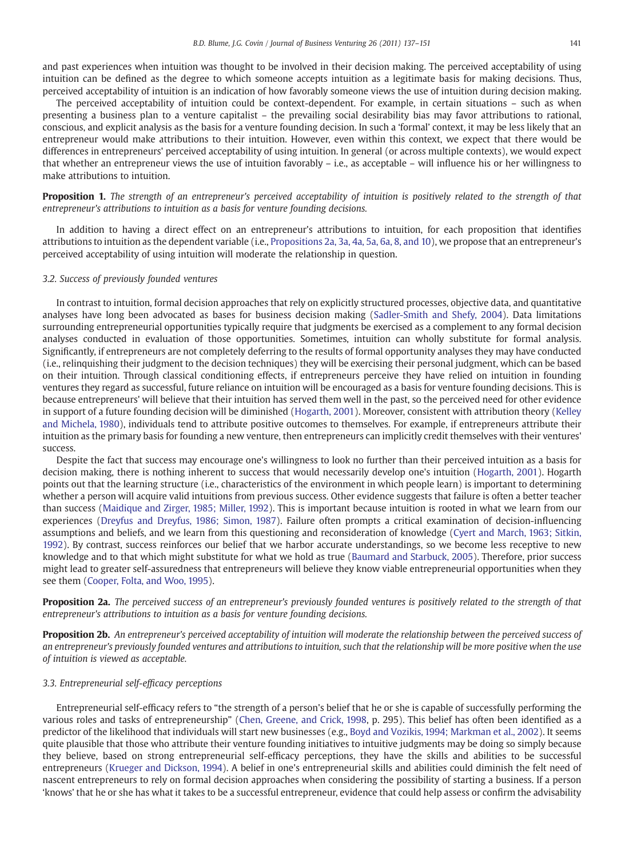and past experiences when intuition was thought to be involved in their decision making. The perceived acceptability of using intuition can be defined as the degree to which someone accepts intuition as a legitimate basis for making decisions. Thus, perceived acceptability of intuition is an indication of how favorably someone views the use of intuition during decision making.

The perceived acceptability of intuition could be context-dependent. For example, in certain situations – such as when presenting a business plan to a venture capitalist – the prevailing social desirability bias may favor attributions to rational, conscious, and explicit analysis as the basis for a venture founding decision. In such a 'formal' context, it may be less likely that an entrepreneur would make attributions to their intuition. However, even within this context, we expect that there would be differences in entrepreneurs' perceived acceptability of using intuition. In general (or across multiple contexts), we would expect that whether an entrepreneur views the use of intuition favorably – i.e., as acceptable – will influence his or her willingness to make attributions to intuition.

**Proposition 1.** The strength of an entrepreneur's perceived acceptability of intuition is positively related to the strength of that entrepreneur's attributions to intuition as a basis for venture founding decisions.

In addition to having a direct effect on an entrepreneur's attributions to intuition, for each proposition that identifies attributions to intuition as the dependent variable (i.e., Propositions 2a, 3a, 4a, 5a, 6a, 8, and 10), we propose that an entrepreneur's perceived acceptability of using intuition will moderate the relationship in question.

# 3.2. Success of previously founded ventures

In contrast to intuition, formal decision approaches that rely on explicitly structured processes, objective data, and quantitative analyses have long been advocated as bases for business decision making ([Sadler-Smith and Shefy, 2004\)](#page-13-0). Data limitations surrounding entrepreneurial opportunities typically require that judgments be exercised as a complement to any formal decision analyses conducted in evaluation of those opportunities. Sometimes, intuition can wholly substitute for formal analysis. Significantly, if entrepreneurs are not completely deferring to the results of formal opportunity analyses they may have conducted (i.e., relinquishing their judgment to the decision techniques) they will be exercising their personal judgment, which can be based on their intuition. Through classical conditioning effects, if entrepreneurs perceive they have relied on intuition in founding ventures they regard as successful, future reliance on intuition will be encouraged as a basis for venture founding decisions. This is because entrepreneurs' will believe that their intuition has served them well in the past, so the perceived need for other evidence in support of a future founding decision will be diminished ([Hogarth, 2001\)](#page-13-0). Moreover, consistent with attribution theory [\(Kelley](#page-13-0) [and Michela, 1980](#page-13-0)), individuals tend to attribute positive outcomes to themselves. For example, if entrepreneurs attribute their intuition as the primary basis for founding a new venture, then entrepreneurs can implicitly credit themselves with their ventures' success.

Despite the fact that success may encourage one's willingness to look no further than their perceived intuition as a basis for decision making, there is nothing inherent to success that would necessarily develop one's intuition ([Hogarth, 2001](#page-13-0)). Hogarth points out that the learning structure (i.e., characteristics of the environment in which people learn) is important to determining whether a person will acquire valid intuitions from previous success. Other evidence suggests that failure is often a better teacher than success ([Maidique and Zirger, 1985; Miller, 1992](#page-13-0)). This is important because intuition is rooted in what we learn from our experiences [\(Dreyfus and Dreyfus, 1986; Simon, 1987](#page-12-0)). Failure often prompts a critical examination of decision-influencing assumptions and beliefs, and we learn from this questioning and reconsideration of knowledge [\(Cyert and March, 1963; Sitkin,](#page-12-0) [1992\)](#page-12-0). By contrast, success reinforces our belief that we harbor accurate understandings, so we become less receptive to new knowledge and to that which might substitute for what we hold as true [\(Baumard and Starbuck, 2005](#page-12-0)). Therefore, prior success might lead to greater self-assuredness that entrepreneurs will believe they know viable entrepreneurial opportunities when they see them ([Cooper, Folta, and Woo, 1995](#page-12-0)).

Proposition 2a. The perceived success of an entrepreneur's previously founded ventures is positively related to the strength of that entrepreneur's attributions to intuition as a basis for venture founding decisions.

Proposition 2b. An entrepreneur's perceived acceptability of intuition will moderate the relationship between the perceived success of an entrepreneur's previously founded ventures and attributions to intuition, such that the relationship will be more positive when the use of intuition is viewed as acceptable.

# 3.3. Entrepreneurial self-efficacy perceptions

Entrepreneurial self-efficacy refers to "the strength of a person's belief that he or she is capable of successfully performing the various roles and tasks of entrepreneurship" [\(Chen, Greene, and Crick, 1998](#page-12-0), p. 295). This belief has often been identified as a predictor of the likelihood that individuals will start new businesses (e.g., [Boyd and Vozikis, 1994; Markman et al., 2002](#page-12-0)). It seems quite plausible that those who attribute their venture founding initiatives to intuitive judgments may be doing so simply because they believe, based on strong entrepreneurial self-efficacy perceptions, they have the skills and abilities to be successful entrepreneurs ([Krueger and Dickson, 1994](#page-13-0)). A belief in one's entrepreneurial skills and abilities could diminish the felt need of nascent entrepreneurs to rely on formal decision approaches when considering the possibility of starting a business. If a person 'knows' that he or she has what it takes to be a successful entrepreneur, evidence that could help assess or confirm the advisability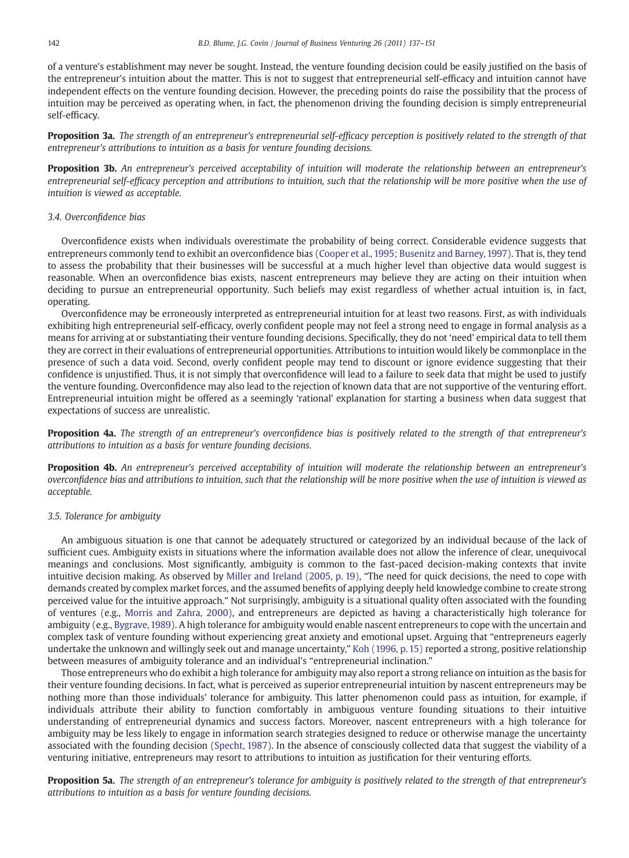of a venture's establishment may never be sought. Instead, the venture founding decision could be easily justified on the basis of the entrepreneur's intuition about the matter. This is not to suggest that entrepreneurial self-efficacy and intuition cannot have independent effects on the venture founding decision. However, the preceding points do raise the possibility that the process of intuition may be perceived as operating when, in fact, the phenomenon driving the founding decision is simply entrepreneurial self-efficacy.

Proposition 3a. The strength of an entrepreneur's entrepreneurial self-efficacy perception is positively related to the strength of that entrepreneur's attributions to intuition as a basis for venture founding decisions.

Proposition 3b. An entrepreneur's perceived acceptability of intuition will moderate the relationship between an entrepreneur's entrepreneurial self-efficacy perception and attributions to intuition, such that the relationship will be more positive when the use of intuition is viewed as acceptable.

### 3.4. Overconfidence bias

Overconfidence exists when individuals overestimate the probability of being correct. Considerable evidence suggests that entrepreneurs commonly tend to exhibit an overconfidence bias [\(Cooper et al., 1995; Busenitz and Barney, 1997\)](#page-12-0). That is, they tend to assess the probability that their businesses will be successful at a much higher level than objective data would suggest is reasonable. When an overconfidence bias exists, nascent entrepreneurs may believe they are acting on their intuition when deciding to pursue an entrepreneurial opportunity. Such beliefs may exist regardless of whether actual intuition is, in fact, operating.

Overconfidence may be erroneously interpreted as entrepreneurial intuition for at least two reasons. First, as with individuals exhibiting high entrepreneurial self-efficacy, overly confident people may not feel a strong need to engage in formal analysis as a means for arriving at or substantiating their venture founding decisions. Specifically, they do not 'need' empirical data to tell them they are correct in their evaluations of entrepreneurial opportunities. Attributions to intuition would likely be commonplace in the presence of such a data void. Second, overly confident people may tend to discount or ignore evidence suggesting that their confidence is unjustified. Thus, it is not simply that overconfidence will lead to a failure to seek data that might be used to justify the venture founding. Overconfidence may also lead to the rejection of known data that are not supportive of the venturing effort. Entrepreneurial intuition might be offered as a seemingly 'rational' explanation for starting a business when data suggest that expectations of success are unrealistic.

Proposition 4a. The strength of an entrepreneur's overconfidence bias is positively related to the strength of that entrepreneur's attributions to intuition as a basis for venture founding decisions.

Proposition 4b. An entrepreneur's perceived acceptability of intuition will moderate the relationship between an entrepreneur's overconfidence bias and attributions to intuition, such that the relationship will be more positive when the use of intuition is viewed as acceptable.

# 3.5. Tolerance for ambiguity

An ambiguous situation is one that cannot be adequately structured or categorized by an individual because of the lack of sufficient cues. Ambiguity exists in situations where the information available does not allow the inference of clear, unequivocal meanings and conclusions. Most significantly, ambiguity is common to the fast-paced decision-making contexts that invite intuitive decision making. As observed by [Miller and Ireland \(2005, p. 19\),](#page-13-0) "The need for quick decisions, the need to cope with demands created by complex market forces, and the assumed benefits of applying deeply held knowledge combine to create strong perceived value for the intuitive approach." Not surprisingly, ambiguity is a situational quality often associated with the founding of ventures (e.g., [Morris and Zahra, 2000\)](#page-13-0), and entrepreneurs are depicted as having a characteristically high tolerance for ambiguity (e.g., [Bygrave, 1989\)](#page-12-0). A high tolerance for ambiguity would enable nascent entrepreneurs to cope with the uncertain and complex task of venture founding without experiencing great anxiety and emotional upset. Arguing that "entrepreneurs eagerly undertake the unknown and willingly seek out and manage uncertainty," [Koh \(1996, p. 15\)](#page-13-0) reported a strong, positive relationship between measures of ambiguity tolerance and an individual's "entrepreneurial inclination."

Those entrepreneurs who do exhibit a high tolerance for ambiguity may also report a strong reliance on intuition as the basis for their venture founding decisions. In fact, what is perceived as superior entrepreneurial intuition by nascent entrepreneurs may be nothing more than those individuals' tolerance for ambiguity. This latter phenomenon could pass as intuition, for example, if individuals attribute their ability to function comfortably in ambiguous venture founding situations to their intuitive understanding of entrepreneurial dynamics and success factors. Moreover, nascent entrepreneurs with a high tolerance for ambiguity may be less likely to engage in information search strategies designed to reduce or otherwise manage the uncertainty associated with the founding decision ([Specht, 1987](#page-14-0)). In the absence of consciously collected data that suggest the viability of a venturing initiative, entrepreneurs may resort to attributions to intuition as justification for their venturing efforts.

Proposition 5a. The strength of an entrepreneur's tolerance for ambiguity is positively related to the strength of that entrepreneur's attributions to intuition as a basis for venture founding decisions.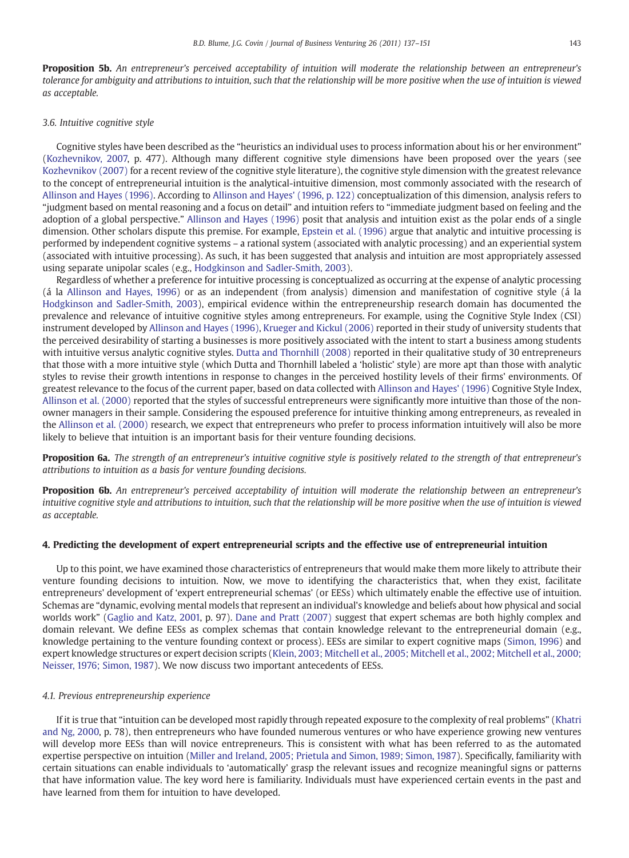Proposition 5b. An entrepreneur's perceived acceptability of intuition will moderate the relationship between an entrepreneur's tolerance for ambiguity and attributions to intuition, such that the relationship will be more positive when the use of intuition is viewed as acceptable.

## 3.6. Intuitive cognitive style

Cognitive styles have been described as the "heuristics an individual uses to process information about his or her environment" [\(Kozhevnikov, 2007,](#page-13-0) p. 477). Although many different cognitive style dimensions have been proposed over the years (see [Kozhevnikov \(2007\)](#page-13-0) for a recent review of the cognitive style literature), the cognitive style dimension with the greatest relevance to the concept of entrepreneurial intuition is the analytical-intuitive dimension, most commonly associated with the research of [Allinson and Hayes \(1996\).](#page-12-0) According to [Allinson and Hayes' \(1996, p. 122\)](#page-12-0) conceptualization of this dimension, analysis refers to "judgment based on mental reasoning and a focus on detail" and intuition refers to "immediate judgment based on feeling and the adoption of a global perspective." [Allinson and Hayes \(1996\)](#page-12-0) posit that analysis and intuition exist as the polar ends of a single dimension. Other scholars dispute this premise. For example, [Epstein et al. \(1996\)](#page-12-0) argue that analytic and intuitive processing is performed by independent cognitive systems – a rational system (associated with analytic processing) and an experiential system (associated with intuitive processing). As such, it has been suggested that analysis and intuition are most appropriately assessed using separate unipolar scales (e.g., [Hodgkinson and Sadler-Smith, 2003\)](#page-13-0).

Regardless of whether a preference for intuitive processing is conceptualized as occurring at the expense of analytic processing (á la [Allinson and Hayes, 1996\)](#page-12-0) or as an independent (from analysis) dimension and manifestation of cognitive style (á la [Hodgkinson and Sadler-Smith, 2003](#page-13-0)), empirical evidence within the entrepreneurship research domain has documented the prevalence and relevance of intuitive cognitive styles among entrepreneurs. For example, using the Cognitive Style Index (CSI) instrument developed by [Allinson and Hayes \(1996\)](#page-12-0), [Krueger and Kickul \(2006\)](#page-13-0) reported in their study of university students that the perceived desirability of starting a businesses is more positively associated with the intent to start a business among students with intuitive versus analytic cognitive styles. [Dutta and Thornhill \(2008\)](#page-12-0) reported in their qualitative study of 30 entrepreneurs that those with a more intuitive style (which Dutta and Thornhill labeled a 'holistic' style) are more apt than those with analytic styles to revise their growth intentions in response to changes in the perceived hostility levels of their firms' environments. Of greatest relevance to the focus of the current paper, based on data collected with [Allinson and Hayes' \(1996\)](#page-12-0) Cognitive Style Index, [Allinson et al. \(2000\)](#page-12-0) reported that the styles of successful entrepreneurs were significantly more intuitive than those of the nonowner managers in their sample. Considering the espoused preference for intuitive thinking among entrepreneurs, as revealed in the [Allinson et al. \(2000\)](#page-12-0) research, we expect that entrepreneurs who prefer to process information intuitively will also be more likely to believe that intuition is an important basis for their venture founding decisions.

Proposition 6a. The strength of an entrepreneur's intuitive cognitive style is positively related to the strength of that entrepreneur's attributions to intuition as a basis for venture founding decisions.

Proposition 6b. An entrepreneur's perceived acceptability of intuition will moderate the relationship between an entrepreneur's intuitive cognitive style and attributions to intuition, such that the relationship will be more positive when the use of intuition is viewed as acceptable.

#### 4. Predicting the development of expert entrepreneurial scripts and the effective use of entrepreneurial intuition

Up to this point, we have examined those characteristics of entrepreneurs that would make them more likely to attribute their venture founding decisions to intuition. Now, we move to identifying the characteristics that, when they exist, facilitate entrepreneurs' development of 'expert entrepreneurial schemas' (or EESs) which ultimately enable the effective use of intuition. Schemas are "dynamic, evolving mental models that represent an individual's knowledge and beliefs about how physical and social worlds work" ([Gaglio and Katz, 2001,](#page-13-0) p. 97). [Dane and Pratt \(2007\)](#page-12-0) suggest that expert schemas are both highly complex and domain relevant. We define EESs as complex schemas that contain knowledge relevant to the entrepreneurial domain (e.g., knowledge pertaining to the venture founding context or process). EESs are similar to expert cognitive maps [\(Simon, 1996\)](#page-14-0) and expert knowledge structures or expert decision scripts ([Klein, 2003; Mitchell et al., 2005; Mitchell et al., 2002; Mitchell et al., 2000;](#page-13-0) [Neisser, 1976; Simon, 1987](#page-13-0)). We now discuss two important antecedents of EESs.

# 4.1. Previous entrepreneurship experience

If it is true that "intuition can be developed most rapidly through repeated exposure to the complexity of real problems" ([Khatri](#page-13-0) [and Ng, 2000,](#page-13-0) p. 78), then entrepreneurs who have founded numerous ventures or who have experience growing new ventures will develop more EESs than will novice entrepreneurs. This is consistent with what has been referred to as the automated expertise perspective on intuition [\(Miller and Ireland, 2005; Prietula and Simon, 1989; Simon, 1987](#page-13-0)). Specifically, familiarity with certain situations can enable individuals to 'automatically' grasp the relevant issues and recognize meaningful signs or patterns that have information value. The key word here is familiarity. Individuals must have experienced certain events in the past and have learned from them for intuition to have developed.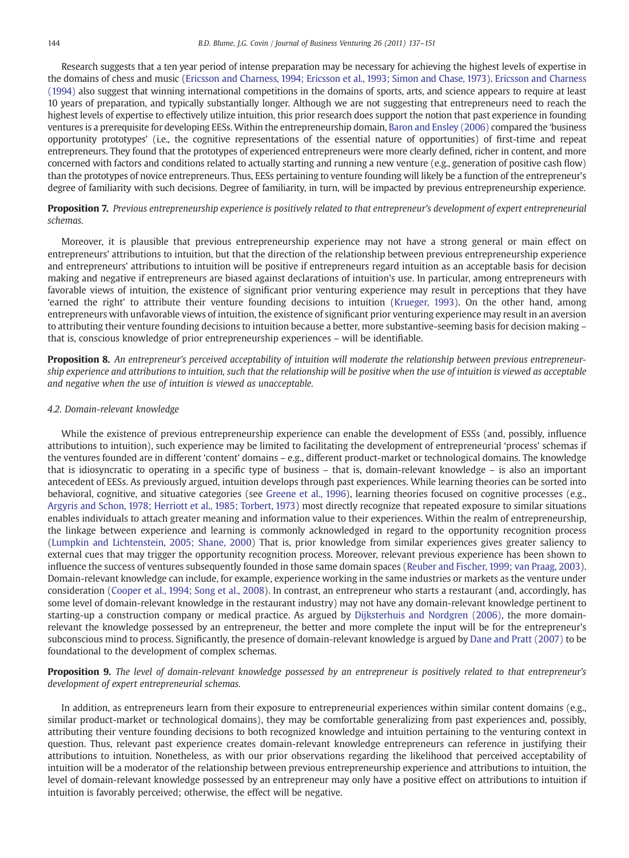<span id="page-7-0"></span>Research suggests that a ten year period of intense preparation may be necessary for achieving the highest levels of expertise in the domains of chess and music ([Ericsson and Charness, 1994; Ericsson et al., 1993; Simon and Chase, 1973](#page-12-0)). [Ericsson and Charness](#page-12-0) [\(1994\)](#page-12-0) also suggest that winning international competitions in the domains of sports, arts, and science appears to require at least 10 years of preparation, and typically substantially longer. Although we are not suggesting that entrepreneurs need to reach the highest levels of expertise to effectively utilize intuition, this prior research does support the notion that past experience in founding ventures is a prerequisite for developing EESs. Within the entrepreneurship domain, [Baron and Ensley \(2006\)](#page-12-0) compared the 'business opportunity prototypes' (i.e., the cognitive representations of the essential nature of opportunities) of first-time and repeat entrepreneurs. They found that the prototypes of experienced entrepreneurs were more clearly defined, richer in content, and more concerned with factors and conditions related to actually starting and running a new venture (e.g., generation of positive cash flow) than the prototypes of novice entrepreneurs. Thus, EESs pertaining to venture founding will likely be a function of the entrepreneur's degree of familiarity with such decisions. Degree of familiarity, in turn, will be impacted by previous entrepreneurship experience.

# Proposition 7. Previous entrepreneurship experience is positively related to that entrepreneur's development of expert entrepreneurial schemas.

Moreover, it is plausible that previous entrepreneurship experience may not have a strong general or main effect on entrepreneurs' attributions to intuition, but that the direction of the relationship between previous entrepreneurship experience and entrepreneurs' attributions to intuition will be positive if entrepreneurs regard intuition as an acceptable basis for decision making and negative if entrepreneurs are biased against declarations of intuition's use. In particular, among entrepreneurs with favorable views of intuition, the existence of significant prior venturing experience may result in perceptions that they have 'earned the right' to attribute their venture founding decisions to intuition [\(Krueger, 1993](#page-13-0)). On the other hand, among entrepreneurs with unfavorable views of intuition, the existence of significant prior venturing experience may result in an aversion to attributing their venture founding decisions to intuition because a better, more substantive-seeming basis for decision making – that is, conscious knowledge of prior entrepreneurship experiences – will be identifiable.

**Proposition 8.** An entrepreneur's perceived acceptability of intuition will moderate the relationship between previous entrepreneurship experience and attributions to intuition, such that the relationship will be positive when the use of intuition is viewed as acceptable and negative when the use of intuition is viewed as unacceptable.

# 4.2. Domain-relevant knowledge

While the existence of previous entrepreneurship experience can enable the development of ESSs (and, possibly, influence attributions to intuition), such experience may be limited to facilitating the development of entrepreneurial 'process' schemas if the ventures founded are in different 'content' domains – e.g., different product-market or technological domains. The knowledge that is idiosyncratic to operating in a specific type of business – that is, domain-relevant knowledge – is also an important antecedent of EESs. As previously argued, intuition develops through past experiences. While learning theories can be sorted into behavioral, cognitive, and situative categories (see [Greene et al., 1996](#page-13-0)), learning theories focused on cognitive processes (e.g., [Argyris and Schon, 1978; Herriott et al., 1985; Torbert, 1973\)](#page-12-0) most directly recognize that repeated exposure to similar situations enables individuals to attach greater meaning and information value to their experiences. Within the realm of entrepreneurship, the linkage between experience and learning is commonly acknowledged in regard to the opportunity recognition process ([Lumpkin and Lichtenstein, 2005; Shane, 2000\)](#page-13-0) That is, prior knowledge from similar experiences gives greater saliency to external cues that may trigger the opportunity recognition process. Moreover, relevant previous experience has been shown to influence the success of ventures subsequently founded in those same domain spaces [\(Reuber and Fischer, 1999; van Praag, 2003](#page-13-0)). Domain-relevant knowledge can include, for example, experience working in the same industries or markets as the venture under consideration [\(Cooper et al., 1994; Song et al., 2008\)](#page-12-0). In contrast, an entrepreneur who starts a restaurant (and, accordingly, has some level of domain-relevant knowledge in the restaurant industry) may not have any domain-relevant knowledge pertinent to starting-up a construction company or medical practice. As argued by [Dijksterhuis and Nordgren \(2006\),](#page-12-0) the more domainrelevant the knowledge possessed by an entrepreneur, the better and more complete the input will be for the entrepreneur's subconscious mind to process. Significantly, the presence of domain-relevant knowledge is argued by [Dane and Pratt \(2007\)](#page-12-0) to be foundational to the development of complex schemas.

Proposition 9. The level of domain-relevant knowledge possessed by an entrepreneur is positively related to that entrepreneur's development of expert entrepreneurial schemas.

In addition, as entrepreneurs learn from their exposure to entrepreneurial experiences within similar content domains (e.g., similar product-market or technological domains), they may be comfortable generalizing from past experiences and, possibly, attributing their venture founding decisions to both recognized knowledge and intuition pertaining to the venturing context in question. Thus, relevant past experience creates domain-relevant knowledge entrepreneurs can reference in justifying their attributions to intuition. Nonetheless, as with our prior observations regarding the likelihood that perceived acceptability of intuition will be a moderator of the relationship between previous entrepreneurship experience and attributions to intuition, the level of domain-relevant knowledge possessed by an entrepreneur may only have a positive effect on attributions to intuition if intuition is favorably perceived; otherwise, the effect will be negative.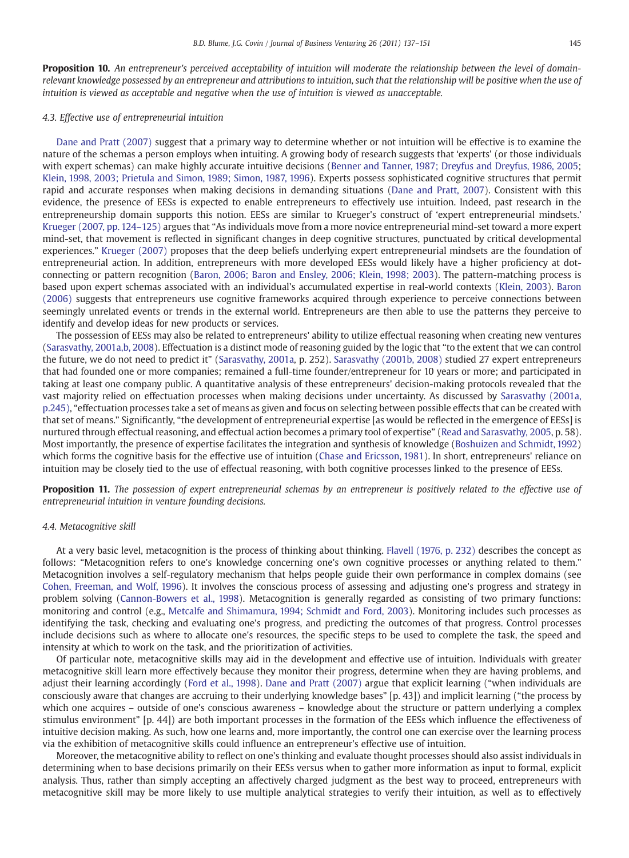<span id="page-8-0"></span>Proposition 10. An entrepreneur's perceived acceptability of intuition will moderate the relationship between the level of domainrelevant knowledge possessed by an entrepreneur and attributions to intuition, such that the relationship will be positive when the use of intuition is viewed as acceptable and negative when the use of intuition is viewed as unacceptable.

### 4.3. Effective use of entrepreneurial intuition

[Dane and Pratt \(2007\)](#page-12-0) suggest that a primary way to determine whether or not intuition will be effective is to examine the nature of the schemas a person employs when intuiting. A growing body of research suggests that 'experts' (or those individuals with expert schemas) can make highly accurate intuitive decisions ([Benner and Tanner, 1987; Dreyfus and Dreyfus, 1986, 2005](#page-12-0); [Klein, 1998, 2003; Prietula and Simon, 1989; Simon, 1987, 1996](#page-13-0)). Experts possess sophisticated cognitive structures that permit rapid and accurate responses when making decisions in demanding situations ([Dane and Pratt, 2007](#page-12-0)). Consistent with this evidence, the presence of EESs is expected to enable entrepreneurs to effectively use intuition. Indeed, past research in the entrepreneurship domain supports this notion. EESs are similar to Krueger's construct of 'expert entrepreneurial mindsets.' [Krueger \(2007, pp. 124](#page-13-0)–125) argues that "As individuals move from a more novice entrepreneurial mind-set toward a more expert mind-set, that movement is reflected in significant changes in deep cognitive structures, punctuated by critical developmental experiences." [Krueger \(2007\)](#page-13-0) proposes that the deep beliefs underlying expert entrepreneurial mindsets are the foundation of entrepreneurial action. In addition, entrepreneurs with more developed EESs would likely have a higher proficiency at dotconnecting or pattern recognition ([Baron, 2006; Baron and Ensley, 2006; Klein, 1998; 2003\)](#page-12-0). The pattern-matching process is based upon expert schemas associated with an individual's accumulated expertise in real-world contexts ([Klein, 2003\)](#page-13-0). [Baron](#page-12-0) [\(2006\)](#page-12-0) suggests that entrepreneurs use cognitive frameworks acquired through experience to perceive connections between seemingly unrelated events or trends in the external world. Entrepreneurs are then able to use the patterns they perceive to identify and develop ideas for new products or services.

The possession of EESs may also be related to entrepreneurs' ability to utilize effectual reasoning when creating new ventures [\(Sarasvathy, 2001a,b, 2008](#page-13-0)). Effectuation is a distinct mode of reasoning guided by the logic that "to the extent that we can control the future, we do not need to predict it" [\(Sarasvathy, 2001a](#page-13-0), p. 252). [Sarasvathy \(2001b, 2008\)](#page-13-0) studied 27 expert entrepreneurs that had founded one or more companies; remained a full-time founder/entrepreneur for 10 years or more; and participated in taking at least one company public. A quantitative analysis of these entrepreneurs' decision-making protocols revealed that the vast majority relied on effectuation processes when making decisions under uncertainty. As discussed by [Sarasvathy \(2001a,](#page-13-0) [p.245\)](#page-13-0), "effectuation processes take a set of means as given and focus on selecting between possible effects that can be created with that set of means." Significantly, "the development of entrepreneurial expertise [as would be reflected in the emergence of EESs] is nurtured through effectual reasoning, and effectual action becomes a primary tool of expertise" ([Read and Sarasvathy, 2005,](#page-13-0) p. 58). Most importantly, the presence of expertise facilitates the integration and synthesis of knowledge [\(Boshuizen and Schmidt, 1992\)](#page-12-0) which forms the cognitive basis for the effective use of intuition [\(Chase and Ericsson, 1981\)](#page-12-0). In short, entrepreneurs' reliance on intuition may be closely tied to the use of effectual reasoning, with both cognitive processes linked to the presence of EESs.

Proposition 11. The possession of expert entrepreneurial schemas by an entrepreneur is positively related to the effective use of entrepreneurial intuition in venture founding decisions.

## 4.4. Metacognitive skill

At a very basic level, metacognition is the process of thinking about thinking. [Flavell \(1976, p. 232\)](#page-12-0) describes the concept as follows: "Metacognition refers to one's knowledge concerning one's own cognitive processes or anything related to them." Metacognition involves a self-regulatory mechanism that helps people guide their own performance in complex domains (see [Cohen, Freeman, and Wolf, 1996](#page-12-0)). It involves the conscious process of assessing and adjusting one's progress and strategy in problem solving [\(Cannon-Bowers et al., 1998\)](#page-12-0). Metacognition is generally regarded as consisting of two primary functions: monitoring and control (e.g., [Metcalfe and Shimamura, 1994; Schmidt and Ford, 2003\)](#page-13-0). Monitoring includes such processes as identifying the task, checking and evaluating one's progress, and predicting the outcomes of that progress. Control processes include decisions such as where to allocate one's resources, the specific steps to be used to complete the task, the speed and intensity at which to work on the task, and the prioritization of activities.

Of particular note, metacognitive skills may aid in the development and effective use of intuition. Individuals with greater metacognitive skill learn more effectively because they monitor their progress, determine when they are having problems, and adjust their learning accordingly ([Ford et al., 1998\)](#page-13-0). [Dane and Pratt \(2007\)](#page-12-0) argue that explicit learning ("when individuals are consciously aware that changes are accruing to their underlying knowledge bases" [p. 43]) and implicit learning ("the process by which one acquires – outside of one's conscious awareness – knowledge about the structure or pattern underlying a complex stimulus environment" [p. 44]) are both important processes in the formation of the EESs which influence the effectiveness of intuitive decision making. As such, how one learns and, more importantly, the control one can exercise over the learning process via the exhibition of metacognitive skills could influence an entrepreneur's effective use of intuition.

Moreover, the metacognitive ability to reflect on one's thinking and evaluate thought processes should also assist individuals in determining when to base decisions primarily on their EESs versus when to gather more information as input to formal, explicit analysis. Thus, rather than simply accepting an affectively charged judgment as the best way to proceed, entrepreneurs with metacognitive skill may be more likely to use multiple analytical strategies to verify their intuition, as well as to effectively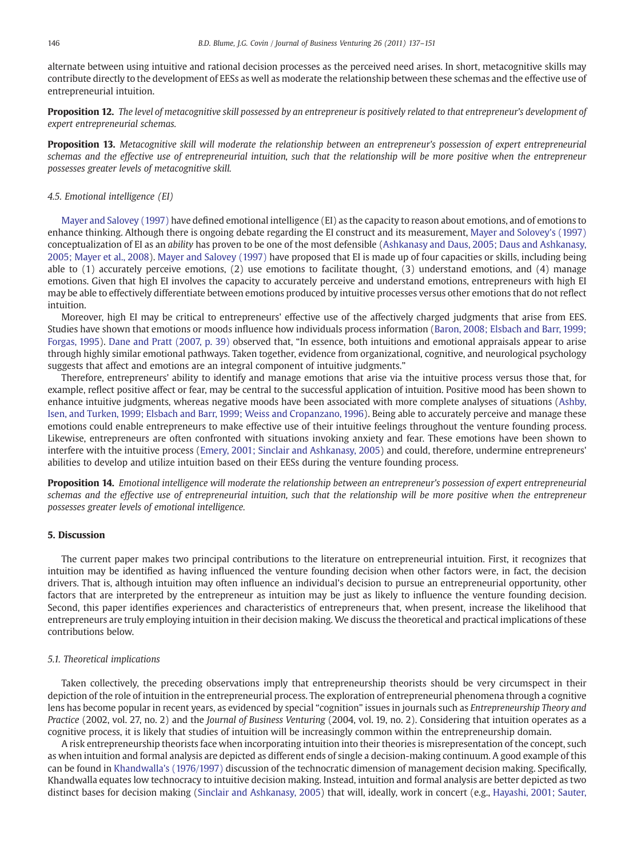alternate between using intuitive and rational decision processes as the perceived need arises. In short, metacognitive skills may contribute directly to the development of EESs as well as moderate the relationship between these schemas and the effective use of entrepreneurial intuition.

Proposition 12. The level of metacognitive skill possessed by an entrepreneur is positively related to that entrepreneur's development of expert entrepreneurial schemas.

Proposition 13. Metacognitive skill will moderate the relationship between an entrepreneur's possession of expert entrepreneurial schemas and the effective use of entrepreneurial intuition, such that the relationship will be more positive when the entrepreneur possesses greater levels of metacognitive skill.

#### 4.5. Emotional intelligence (EI)

[Mayer and Salovey \(1997\)](#page-13-0) have defined emotional intelligence (EI) as the capacity to reason about emotions, and of emotions to enhance thinking. Although there is ongoing debate regarding the EI construct and its measurement, [Mayer and Solovey's \(1997\)](#page-13-0) conceptualization of EI as an ability has proven to be one of the most defensible ([Ashkanasy and Daus, 2005; Daus and Ashkanasy,](#page-12-0) [2005; Mayer et al., 2008](#page-12-0)). [Mayer and Salovey \(1997\)](#page-13-0) have proposed that EI is made up of four capacities or skills, including being able to (1) accurately perceive emotions, (2) use emotions to facilitate thought, (3) understand emotions, and (4) manage emotions. Given that high EI involves the capacity to accurately perceive and understand emotions, entrepreneurs with high EI may be able to effectively differentiate between emotions produced by intuitive processes versus other emotions that do not reflect intuition.

Moreover, high EI may be critical to entrepreneurs' effective use of the affectively charged judgments that arise from EES. Studies have shown that emotions or moods influence how individuals process information [\(Baron, 2008; Elsbach and Barr, 1999;](#page-12-0) [Forgas, 1995](#page-12-0)). [Dane and Pratt \(2007, p. 39\)](#page-12-0) observed that, "In essence, both intuitions and emotional appraisals appear to arise through highly similar emotional pathways. Taken together, evidence from organizational, cognitive, and neurological psychology suggests that affect and emotions are an integral component of intuitive judgments."

Therefore, entrepreneurs' ability to identify and manage emotions that arise via the intuitive process versus those that, for example, reflect positive affect or fear, may be central to the successful application of intuition. Positive mood has been shown to enhance intuitive judgments, whereas negative moods have been associated with more complete analyses of situations ([Ashby,](#page-12-0) [Isen, and Turken, 1999; Elsbach and Barr, 1999; Weiss and Cropanzano, 1996\)](#page-12-0). Being able to accurately perceive and manage these emotions could enable entrepreneurs to make effective use of their intuitive feelings throughout the venture founding process. Likewise, entrepreneurs are often confronted with situations invoking anxiety and fear. These emotions have been shown to interfere with the intuitive process [\(Emery, 2001; Sinclair and Ashkanasy, 2005](#page-12-0)) and could, therefore, undermine entrepreneurs' abilities to develop and utilize intuition based on their EESs during the venture founding process.

Proposition 14. Emotional intelligence will moderate the relationship between an entrepreneur's possession of expert entrepreneurial schemas and the effective use of entrepreneurial intuition, such that the relationship will be more positive when the entrepreneur possesses greater levels of emotional intelligence.

# 5. Discussion

The current paper makes two principal contributions to the literature on entrepreneurial intuition. First, it recognizes that intuition may be identified as having influenced the venture founding decision when other factors were, in fact, the decision drivers. That is, although intuition may often influence an individual's decision to pursue an entrepreneurial opportunity, other factors that are interpreted by the entrepreneur as intuition may be just as likely to influence the venture founding decision. Second, this paper identifies experiences and characteristics of entrepreneurs that, when present, increase the likelihood that entrepreneurs are truly employing intuition in their decision making. We discuss the theoretical and practical implications of these contributions below.

#### 5.1. Theoretical implications

Taken collectively, the preceding observations imply that entrepreneurship theorists should be very circumspect in their depiction of the role of intuition in the entrepreneurial process. The exploration of entrepreneurial phenomena through a cognitive lens has become popular in recent years, as evidenced by special "cognition" issues in journals such as Entrepreneurship Theory and Practice (2002, vol. 27, no. 2) and the Journal of Business Venturing (2004, vol. 19, no. 2). Considering that intuition operates as a cognitive process, it is likely that studies of intuition will be increasingly common within the entrepreneurship domain.

A risk entrepreneurship theorists face when incorporating intuition into their theories is misrepresentation of the concept, such as when intuition and formal analysis are depicted as different ends of single a decision-making continuum. A good example of this can be found in [Khandwalla's \(1976/1997\)](#page-13-0) discussion of the technocratic dimension of management decision making. Specifically, Khandwalla equates low technocracy to intuitive decision making. Instead, intuition and formal analysis are better depicted as two distinct bases for decision making [\(Sinclair and Ashkanasy, 2005](#page-14-0)) that will, ideally, work in concert (e.g., [Hayashi, 2001; Sauter,](#page-13-0)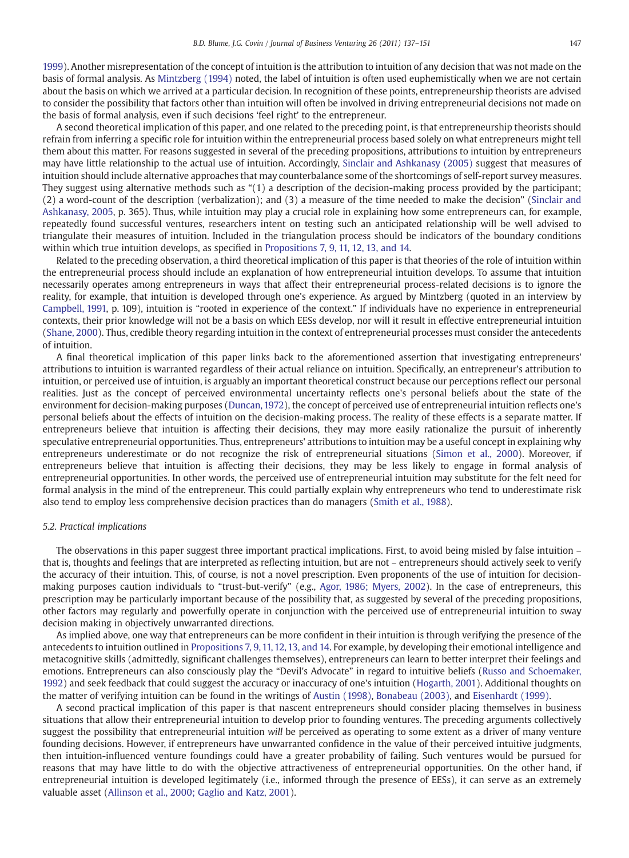[1999\)](#page-13-0). Another misrepresentation of the concept of intuition is the attribution to intuition of any decision that was not made on the basis of formal analysis. As [Mintzberg \(1994\)](#page-13-0) noted, the label of intuition is often used euphemistically when we are not certain about the basis on which we arrived at a particular decision. In recognition of these points, entrepreneurship theorists are advised to consider the possibility that factors other than intuition will often be involved in driving entrepreneurial decisions not made on the basis of formal analysis, even if such decisions 'feel right' to the entrepreneur.

A second theoretical implication of this paper, and one related to the preceding point, is that entrepreneurship theorists should refrain from inferring a specific role for intuition within the entrepreneurial process based solely on what entrepreneurs might tell them about this matter. For reasons suggested in several of the preceding propositions, attributions to intuition by entrepreneurs may have little relationship to the actual use of intuition. Accordingly, [Sinclair and Ashkanasy \(2005\)](#page-14-0) suggest that measures of intuition should include alternative approaches that may counterbalance some of the shortcomings of self-report survey measures. They suggest using alternative methods such as "(1) a description of the decision-making process provided by the participant; (2) a word-count of the description (verbalization); and (3) a measure of the time needed to make the decision" [\(Sinclair and](#page-14-0) [Ashkanasy, 2005,](#page-14-0) p. 365). Thus, while intuition may play a crucial role in explaining how some entrepreneurs can, for example, repeatedly found successful ventures, researchers intent on testing such an anticipated relationship will be well advised to triangulate their measures of intuition. Included in the triangulation process should be indicators of the boundary conditions within which true intuition develops, as specified in [Propositions 7, 9, 11, 12, 13, and 14](#page-7-0).

Related to the preceding observation, a third theoretical implication of this paper is that theories of the role of intuition within the entrepreneurial process should include an explanation of how entrepreneurial intuition develops. To assume that intuition necessarily operates among entrepreneurs in ways that affect their entrepreneurial process-related decisions is to ignore the reality, for example, that intuition is developed through one's experience. As argued by Mintzberg (quoted in an interview by [Campbell, 1991,](#page-12-0) p. 109), intuition is "rooted in experience of the context." If individuals have no experience in entrepreneurial contexts, their prior knowledge will not be a basis on which EESs develop, nor will it result in effective entrepreneurial intuition [\(Shane, 2000\)](#page-14-0). Thus, credible theory regarding intuition in the context of entrepreneurial processes must consider the antecedents of intuition.

A final theoretical implication of this paper links back to the aforementioned assertion that investigating entrepreneurs' attributions to intuition is warranted regardless of their actual reliance on intuition. Specifically, an entrepreneur's attribution to intuition, or perceived use of intuition, is arguably an important theoretical construct because our perceptions reflect our personal realities. Just as the concept of perceived environmental uncertainty reflects one's personal beliefs about the state of the environment for decision-making purposes ([Duncan, 1972\)](#page-12-0), the concept of perceived use of entrepreneurial intuition reflects one's personal beliefs about the effects of intuition on the decision-making process. The reality of these effects is a separate matter. If entrepreneurs believe that intuition is affecting their decisions, they may more easily rationalize the pursuit of inherently speculative entrepreneurial opportunities. Thus, entrepreneurs' attributions to intuition may be a useful concept in explaining why entrepreneurs underestimate or do not recognize the risk of entrepreneurial situations [\(Simon et al., 2000](#page-14-0)). Moreover, if entrepreneurs believe that intuition is affecting their decisions, they may be less likely to engage in formal analysis of entrepreneurial opportunities. In other words, the perceived use of entrepreneurial intuition may substitute for the felt need for formal analysis in the mind of the entrepreneur. This could partially explain why entrepreneurs who tend to underestimate risk also tend to employ less comprehensive decision practices than do managers [\(Smith et al., 1988](#page-14-0)).

#### 5.2. Practical implications

The observations in this paper suggest three important practical implications. First, to avoid being misled by false intuition – that is, thoughts and feelings that are interpreted as reflecting intuition, but are not – entrepreneurs should actively seek to verify the accuracy of their intuition. This, of course, is not a novel prescription. Even proponents of the use of intuition for decisionmaking purposes caution individuals to "trust-but-verify" (e.g., [Agor, 1986; Myers, 2002](#page-12-0)). In the case of entrepreneurs, this prescription may be particularly important because of the possibility that, as suggested by several of the preceding propositions, other factors may regularly and powerfully operate in conjunction with the perceived use of entrepreneurial intuition to sway decision making in objectively unwarranted directions.

As implied above, one way that entrepreneurs can be more confident in their intuition is through verifying the presence of the antecedents to intuition outlined in [Propositions 7, 9, 11, 12, 13, and 14](#page-7-0). For example, by developing their emotional intelligence and metacognitive skills (admittedly, significant challenges themselves), entrepreneurs can learn to better interpret their feelings and emotions. Entrepreneurs can also consciously play the "Devil's Advocate" in regard to intuitive beliefs [\(Russo and Schoemaker,](#page-13-0) [1992\)](#page-13-0) and seek feedback that could suggest the accuracy or inaccuracy of one's intuition ([Hogarth, 2001](#page-13-0)). Additional thoughts on the matter of verifying intuition can be found in the writings of [Austin \(1998\),](#page-12-0) [Bonabeau \(2003\)](#page-12-0), and [Eisenhardt \(1999\)](#page-12-0).

A second practical implication of this paper is that nascent entrepreneurs should consider placing themselves in business situations that allow their entrepreneurial intuition to develop prior to founding ventures. The preceding arguments collectively suggest the possibility that entrepreneurial intuition will be perceived as operating to some extent as a driver of many venture founding decisions. However, if entrepreneurs have unwarranted confidence in the value of their perceived intuitive judgments, then intuition-influenced venture foundings could have a greater probability of failing. Such ventures would be pursued for reasons that may have little to do with the objective attractiveness of entrepreneurial opportunities. On the other hand, if entrepreneurial intuition is developed legitimately (i.e., informed through the presence of EESs), it can serve as an extremely valuable asset ([Allinson et al., 2000; Gaglio and Katz, 2001](#page-12-0)).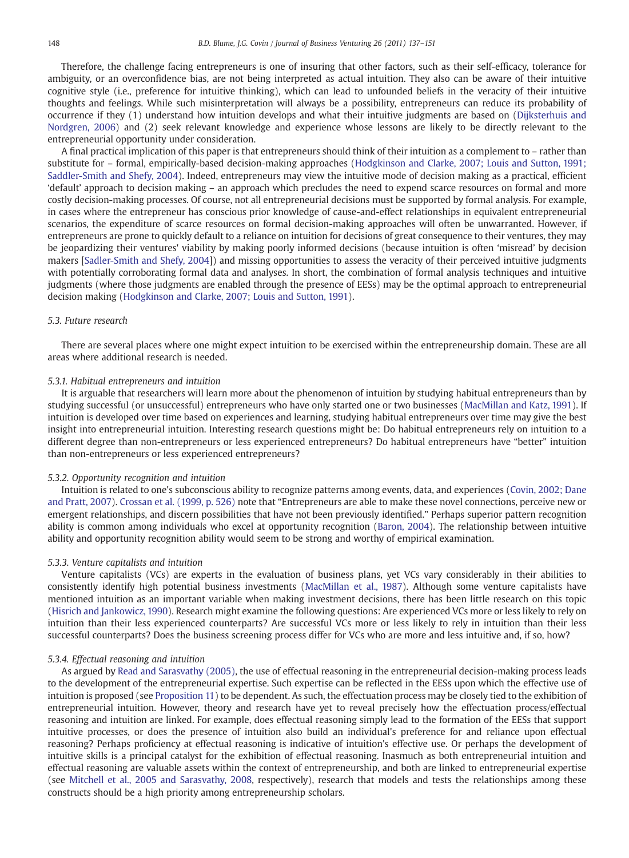Therefore, the challenge facing entrepreneurs is one of insuring that other factors, such as their self-efficacy, tolerance for ambiguity, or an overconfidence bias, are not being interpreted as actual intuition. They also can be aware of their intuitive cognitive style (i.e., preference for intuitive thinking), which can lead to unfounded beliefs in the veracity of their intuitive thoughts and feelings. While such misinterpretation will always be a possibility, entrepreneurs can reduce its probability of occurrence if they (1) understand how intuition develops and what their intuitive judgments are based on [\(Dijksterhuis and](#page-12-0) [Nordgren, 2006\)](#page-12-0) and (2) seek relevant knowledge and experience whose lessons are likely to be directly relevant to the entrepreneurial opportunity under consideration.

A final practical implication of this paper is that entrepreneurs should think of their intuition as a complement to – rather than substitute for – formal, empirically-based decision-making approaches [\(Hodgkinson and Clarke, 2007; Louis and Sutton, 1991;](#page-13-0) [Saddler-Smith and Shefy, 2004](#page-13-0)). Indeed, entrepreneurs may view the intuitive mode of decision making as a practical, efficient 'default' approach to decision making – an approach which precludes the need to expend scarce resources on formal and more costly decision-making processes. Of course, not all entrepreneurial decisions must be supported by formal analysis. For example, in cases where the entrepreneur has conscious prior knowledge of cause-and-effect relationships in equivalent entrepreneurial scenarios, the expenditure of scarce resources on formal decision-making approaches will often be unwarranted. However, if entrepreneurs are prone to quickly default to a reliance on intuition for decisions of great consequence to their ventures, they may be jeopardizing their ventures' viability by making poorly informed decisions (because intuition is often 'misread' by decision makers [\[Sadler-Smith and Shefy, 2004](#page-13-0)]) and missing opportunities to assess the veracity of their perceived intuitive judgments with potentially corroborating formal data and analyses. In short, the combination of formal analysis techniques and intuitive judgments (where those judgments are enabled through the presence of EESs) may be the optimal approach to entrepreneurial decision making ([Hodgkinson and Clarke, 2007; Louis and Sutton, 1991](#page-13-0)).

# 5.3. Future research

There are several places where one might expect intuition to be exercised within the entrepreneurship domain. These are all areas where additional research is needed.

# 5.3.1. Habitual entrepreneurs and intuition

It is arguable that researchers will learn more about the phenomenon of intuition by studying habitual entrepreneurs than by studying successful (or unsuccessful) entrepreneurs who have only started one or two businesses ([MacMillan and Katz, 1991](#page-13-0)). If intuition is developed over time based on experiences and learning, studying habitual entrepreneurs over time may give the best insight into entrepreneurial intuition. Interesting research questions might be: Do habitual entrepreneurs rely on intuition to a different degree than non-entrepreneurs or less experienced entrepreneurs? Do habitual entrepreneurs have "better" intuition than non-entrepreneurs or less experienced entrepreneurs?

#### 5.3.2. Opportunity recognition and intuition

Intuition is related to one's subconscious ability to recognize patterns among events, data, and experiences ([Covin, 2002; Dane](#page-12-0) [and Pratt, 2007](#page-12-0)). [Crossan et al. \(1999, p. 526\)](#page-12-0) note that "Entrepreneurs are able to make these novel connections, perceive new or emergent relationships, and discern possibilities that have not been previously identified." Perhaps superior pattern recognition ability is common among individuals who excel at opportunity recognition ([Baron, 2004](#page-12-0)). The relationship between intuitive ability and opportunity recognition ability would seem to be strong and worthy of empirical examination.

#### 5.3.3. Venture capitalists and intuition

Venture capitalists (VCs) are experts in the evaluation of business plans, yet VCs vary considerably in their abilities to consistently identify high potential business investments ([MacMillan et al., 1987](#page-13-0)). Although some venture capitalists have mentioned intuition as an important variable when making investment decisions, there has been little research on this topic ([Hisrich and Jankowicz, 1990](#page-13-0)). Research might examine the following questions: Are experienced VCs more or less likely to rely on intuition than their less experienced counterparts? Are successful VCs more or less likely to rely in intuition than their less successful counterparts? Does the business screening process differ for VCs who are more and less intuitive and, if so, how?

#### 5.3.4. Effectual reasoning and intuition

As argued by [Read and Sarasvathy \(2005\),](#page-13-0) the use of effectual reasoning in the entrepreneurial decision-making process leads to the development of the entrepreneurial expertise. Such expertise can be reflected in the EESs upon which the effective use of intuition is proposed (see [Proposition](#page-8-0) 11) to be dependent. As such, the effectuation process may be closely tied to the exhibition of entrepreneurial intuition. However, theory and research have yet to reveal precisely how the effectuation process/effectual reasoning and intuition are linked. For example, does effectual reasoning simply lead to the formation of the EESs that support intuitive processes, or does the presence of intuition also build an individual's preference for and reliance upon effectual reasoning? Perhaps proficiency at effectual reasoning is indicative of intuition's effective use. Or perhaps the development of intuitive skills is a principal catalyst for the exhibition of effectual reasoning. Inasmuch as both entrepreneurial intuition and effectual reasoning are valuable assets within the context of entrepreneurship, and both are linked to entrepreneurial expertise (see [Mitchell et al., 2005 and Sarasvathy, 2008,](#page-13-0) respectively), research that models and tests the relationships among these constructs should be a high priority among entrepreneurship scholars.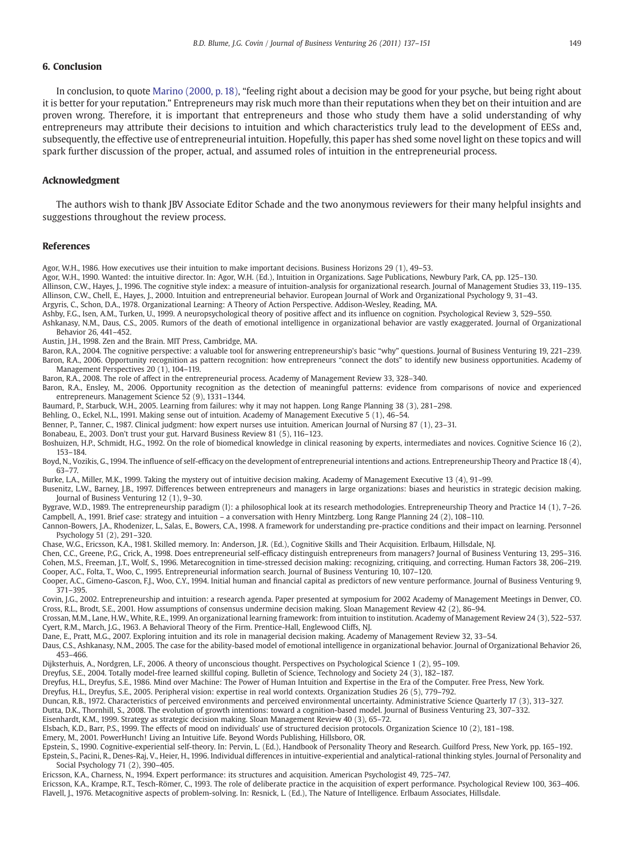# <span id="page-12-0"></span>6. Conclusion

In conclusion, to quote [Marino \(2000, p. 18\)](#page-13-0), "feeling right about a decision may be good for your psyche, but being right about it is better for your reputation." Entrepreneurs may risk much more than their reputations when they bet on their intuition and are proven wrong. Therefore, it is important that entrepreneurs and those who study them have a solid understanding of why entrepreneurs may attribute their decisions to intuition and which characteristics truly lead to the development of EESs and, subsequently, the effective use of entrepreneurial intuition. Hopefully, this paper has shed some novel light on these topics and will spark further discussion of the proper, actual, and assumed roles of intuition in the entrepreneurial process.

#### Acknowledgment

The authors wish to thank JBV Associate Editor Schade and the two anonymous reviewers for their many helpful insights and suggestions throughout the review process.

# References

Agor, W.H., 1986. How executives use their intuition to make important decisions. Business Horizons 29 (1), 49–53.

Agor, W.H., 1990. Wanted: the intuitive director. In: Agor, W.H. (Ed.), Intuition in Organizations. Sage Publications, Newbury Park, CA, pp. 125–130.

Allinson, C.W., Hayes, J., 1996. The cognitive style index: a measure of intuition-analysis for organizational research. Journal of Management Studies 33, 119–135. Allinson, C.W., Chell, E., Hayes, J., 2000. Intuition and entrepreneurial behavior. European Journal of Work and Organizational Psychology 9, 31–43.

Argyris, C., Schon, D.A., 1978. Organizational Learning: A Theory of Action Perspective. Addison-Wesley, Reading, MA.

Ashby, F.G., Isen, A.M., Turken, U., 1999. A neuropsychological theory of positive affect and its influence on cognition. Psychological Review 3, 529–550.

Ashkanasy, N.M., Daus, C.S., 2005. Rumors of the death of emotional intelligence in organizational behavior are vastly exaggerated. Journal of Organizational Behavior 26, 441–452.

Austin, J.H., 1998. Zen and the Brain. MIT Press, Cambridge, MA.

Baron, R.A., 2004. The cognitive perspective: a valuable tool for answering entrepreneurship's basic "why" questions. Journal of Business Venturing 19, 221–239. Baron, R.A., 2006. Opportunity recognition as pattern recognition: how entrepreneurs "connect the dots" to identify new business opportunities. Academy of

Management Perspectives 20 (1), 104–119.

Baron, R.A., 2008. The role of affect in the entrepreneurial process. Academy of Management Review 33, 328–340.

Baron, R.A., Ensley, M., 2006. Opportunity recognition as the detection of meaningful patterns: evidence from comparisons of novice and experienced entrepreneurs. Management Science 52 (9), 1331–1344.

Baumard, P., Starbuck, W.H., 2005. Learning from failures: why it may not happen. Long Range Planning 38 (3), 281–298.

Behling, O., Eckel, N.L., 1991. Making sense out of intuition. Academy of Management Executive 5 (1), 46–54.

Benner, P., Tanner, C., 1987. Clinical judgment: how expert nurses use intuition. American Journal of Nursing 87 (1), 23–31.

Bonabeau, E., 2003. Don't trust your gut. Harvard Business Review 81 (5), 116–123.

Boshuizen, H.P., Schmidt, H.G., 1992. On the role of biomedical knowledge in clinical reasoning by experts, intermediates and novices. Cognitive Science 16 (2), 153–184.

Boyd, N., Vozikis, G., 1994. The influence of self-efficacy on the development of entrepreneurial intentions and actions. Entrepreneurship Theory and Practice 18 (4), 63–77.

Burke, L.A., Miller, M.K., 1999. Taking the mystery out of intuitive decision making. Academy of Management Executive 13 (4), 91–99.

Busenitz, L.W., Barney, J.B., 1997. Differences between entrepreneurs and managers in large organizations: biases and heuristics in strategic decision making. Journal of Business Venturing 12 (1), 9–30.

Bygrave, W.D., 1989. The entrepreneurship paradigm (I): a philosophical look at its research methodologies. Entrepreneurship Theory and Practice 14 (1), 7–26. Campbell, A., 1991. Brief case: strategy and intuition – a conversation with Henry Mintzberg. Long Range Planning 24 (2), 108–110.

Cannon-Bowers, J.A., Rhodenizer, L., Salas, E., Bowers, C.A., 1998. A framework for understanding pre-practice conditions and their impact on learning. Personnel Psychology 51 (2), 291–320.

Chase, W.G., Ericsson, K.A., 1981. Skilled memory. In: Anderson, J.R. (Ed.), Cognitive Skills and Their Acquisition. Erlbaum, Hillsdale, NJ.

Chen, C.C., Greene, P.G., Crick, A., 1998. Does entrepreneurial self-efficacy distinguish entrepreneurs from managers? Journal of Business Venturing 13, 295–316. Cohen, M.S., Freeman, J.T., Wolf, S., 1996. Metarecognition in time-stressed decision making: recognizing, critiquing, and correcting. Human Factors 38, 206–219. Cooper, A.C., Folta, T., Woo, C., 1995. Entrepreneurial information search. Journal of Business Venturing 10, 107–120.

Cooper, A.C., Gimeno-Gascon, F.J., Woo, C.Y., 1994. Initial human and financial capital as predictors of new venture performance. Journal of Business Venturing 9, 371–395.

Covin, J.G., 2002. Entrepreneurship and intuition: a research agenda. Paper presented at symposium for 2002 Academy of Management Meetings in Denver, CO. Cross, R.L., Brodt, S.E., 2001. How assumptions of consensus undermine decision making. Sloan Management Review 42 (2), 86–94.

Crossan, M.M., Lane, H.W., White, R.E., 1999. An organizational learning framework: from intuition to institution. Academy of Management Review 24 (3), 522–537. Cyert, R.M., March, J.G., 1963. A Behavioral Theory of the Firm. Prentice-Hall, Englewood Cliffs, NJ.

Dane, E., Pratt, M.G., 2007. Exploring intuition and its role in managerial decision making. Academy of Management Review 32, 33–54.

Daus, C.S., Ashkanasy, N.M., 2005. The case for the ability-based model of emotional intelligence in organizational behavior. Journal of Organizational Behavior 26, 453–466.

Dijksterhuis, A., Nordgren, L.F., 2006. A theory of unconscious thought. Perspectives on Psychological Science 1 (2), 95–109.

Dreyfus, S.E., 2004. Totally model-free learned skillful coping. Bulletin of Science, Technology and Society 24 (3), 182–187.

Dreyfus, H.L., Dreyfus, S.E., 1986. Mind over Machine: The Power of Human Intuition and Expertise in the Era of the Computer. Free Press, New York.

Dreyfus, H.L., Dreyfus, S.E., 2005. Peripheral vision: expertise in real world contexts. Organization Studies 26 (5), 779–792.

Duncan, R.B., 1972. Characteristics of perceived environments and perceived environmental uncertainty. Administrative Science Quarterly 17 (3), 313–327.

Dutta, D.K., Thornhill, S., 2008. The evolution of growth intentions: toward a cognition-based model. Journal of Business Venturing 23, 307–332.

Eisenhardt, K.M., 1999. Strategy as strategic decision making. Sloan Management Review 40 (3), 65–72.

Elsbach, K.D., Barr, P.S., 1999. The effects of mood on individuals' use of structured decision protocols. Organization Science 10 (2), 181–198.

Emery, M., 2001. PowerHunch! Living an Intuitive Life. Beyond Words Publishing, Hillsboro, OR.

Epstein, S., 1990. Cognitive-experiential self-theory. In: Pervin, L. (Ed.), Handbook of Personality Theory and Research. Guilford Press, New York, pp. 165–192. Epstein, S., Pacini, R., Denes-Raj, V., Heier, H., 1996. Individual differences in intuitive-experiential and analytical-rational thinking styles. Journal of Personality and Social Psychology 71 (2), 390–405.

Ericsson, K.A., Charness, N., 1994. Expert performance: its structures and acquisition. American Psychologist 49, 725–747.

Ericsson, K.A., Krampe, R.T., Tesch-Römer, C., 1993. The role of deliberate practice in the acquisition of expert performance. Psychological Review 100, 363–406. Flavell, J., 1976. Metacognitive aspects of problem-solving. In: Resnick, L. (Ed.), The Nature of Intelligence. Erlbaum Associates, Hillsdale.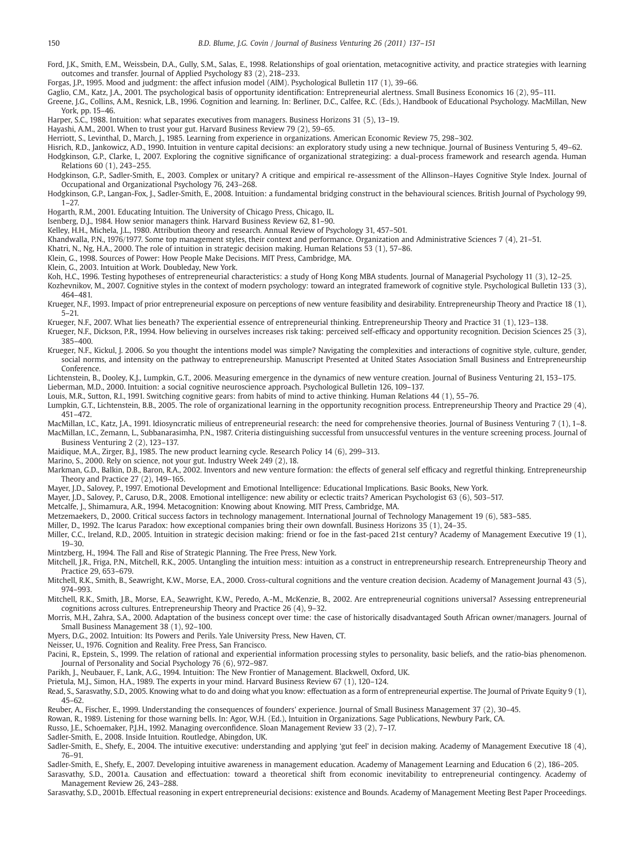- <span id="page-13-0"></span>Ford, J.K., Smith, E.M., Weissbein, D.A., Gully, S.M., Salas, E., 1998. Relationships of goal orientation, metacognitive activity, and practice strategies with learning outcomes and transfer. Journal of Applied Psychology 83 (2), 218–233.
- Forgas, J.P., 1995. Mood and judgment: the affect infusion model (AIM). Psychological Bulletin 117 (1), 39–66.
- Gaglio, C.M., Katz, J.A., 2001. The psychological basis of opportunity identification: Entrepreneurial alertness. Small Business Economics 16 (2), 95–111.
- Greene, J.G., Collins, A.M., Resnick, L.B., 1996. Cognition and learning. In: Berliner, D.C., Calfee, R.C. (Eds.), Handbook of Educational Psychology. MacMillan, New
- York, pp. 15–46.
- Harper, S.C., 1988. Intuition: what separates executives from managers. Business Horizons 31 (5), 13–19.
- Hayashi, A.M., 2001. When to trust your gut. Harvard Business Review 79 (2), 59–65.
- Herriott, S., Levinthal, D., March, J., 1985. Learning from experience in organizations. American Economic Review 75, 298–302.
- Hisrich, R.D., Jankowicz, A.D., 1990. Intuition in venture capital decisions: an exploratory study using a new technique. Journal of Business Venturing 5, 49–62. Hodgkinson, G.P., Clarke, I., 2007. Exploring the cognitive significance of organizational strategizing: a dual-process framework and research agenda. Human Relations 60 (1), 243–255.
- Hodgkinson, G.P., Sadler-Smith, E., 2003. Complex or unitary? A critique and empirical re-assessment of the Allinson–Hayes Cognitive Style Index. Journal of Occupational and Organizational Psychology 76, 243–268.
- Hodgkinson, G.P., Langan-Fox, J., Sadler-Smith, E., 2008. Intuition: a fundamental bridging construct in the behavioural sciences. British Journal of Psychology 99, 1–27.
- Hogarth, R.M., 2001. Educating Intuition. The University of Chicago Press, Chicago, IL.
- Isenberg, D.J., 1984. How senior managers think. Harvard Business Review 62, 81–90.
- Kelley, H.H., Michela, J.L., 1980. Attribution theory and research. Annual Review of Psychology 31, 457–501.
- Khandwalla, P.N., 1976/1977. Some top management styles, their context and performance. Organization and Administrative Sciences 7 (4), 21–51.
- Khatri, N., Ng, H.A., 2000. The role of intuition in strategic decision making. Human Relations 53 (1), 57–86.
- Klein, G., 1998. Sources of Power: How People Make Decisions. MIT Press, Cambridge, MA.
- Klein, G., 2003. Intuition at Work. Doubleday, New York.
- Koh, H.C., 1996. Testing hypotheses of entrepreneurial characteristics: a study of Hong Kong MBA students. Journal of Managerial Psychology 11 (3), 12–25.
- Kozhevnikov, M., 2007. Cognitive styles in the context of modern psychology: toward an integrated framework of cognitive style. Psychological Bulletin 133 (3), 464–481.
- Krueger, N.F., 1993. Impact of prior entrepreneurial exposure on perceptions of new venture feasibility and desirability. Entrepreneurship Theory and Practice 18 (1), 5–21.
- Krueger, N.F., 2007. What lies beneath? The experiential essence of entrepreneurial thinking. Entrepreneurship Theory and Practice 31 (1), 123–138.
- Krueger, N.F., Dickson, P.R., 1994. How believing in ourselves increases risk taking: perceived self-efficacy and opportunity recognition. Decision Sciences 25 (3),
- 385–400.
- Krueger, N.F., Kickul, J. 2006. So you thought the intentions model was simple? Navigating the complexities and interactions of cognitive style, culture, gender, social norms, and intensity on the pathway to entrepreneurship. Manuscript Presented at United States Association Small Business and Entrepreneurship Conference.
- Lichtenstein, B., Dooley, K.J., Lumpkin, G.T., 2006. Measuring emergence in the dynamics of new venture creation. Journal of Business Venturing 21, 153–175. Lieberman, M.D., 2000. Intuition: a social cognitive neuroscience approach. Psychological Bulletin 126, 109–137.
- Louis, M.R., Sutton, R.I., 1991. Switching cognitive gears: from habits of mind to active thinking. Human Relations 44 (1), 55–76.
- Lumpkin, G.T., Lichtenstein, B.B., 2005. The role of organizational learning in the opportunity recognition process. Entrepreneurship Theory and Practice 29 (4), 451–472.
- MacMillan, I.C., Katz, J.A., 1991. Idiosyncratic milieus of entrepreneurial research: the need for comprehensive theories. Journal of Business Venturing 7 (1), 1–8. MacMillan, I.C., Zemann, L., Subbanarasimha, P.N., 1987. Criteria distinguishing successful from unsuccessful ventures in the venture screening process. Journal of Business Venturing 2 (2), 123–137.
- Maidique, M.A., Zirger, B.J., 1985. The new product learning cycle. Research Policy 14 (6), 299–313.
- Marino, S., 2000. Rely on science, not your gut. Industry Week 249 (2), 18.
- Markman, G.D., Balkin, D.B., Baron, R.A., 2002. Inventors and new venture formation: the effects of general self efficacy and regretful thinking. Entrepreneurship Theory and Practice 27 (2), 149–165.
- Mayer, J.D., Salovey, P., 1997. Emotional Development and Emotional Intelligence: Educational Implications. Basic Books, New York.
- Mayer, J.D., Salovey, P., Caruso, D.R., 2008. Emotional intelligence: new ability or eclectic traits? American Psychologist 63 (6), 503–517.
- Metcalfe, J., Shimamura, A.R., 1994. Metacognition: Knowing about Knowing. MIT Press, Cambridge, MA.
- Metzemaekers, D., 2000. Critical success factors in technology management. International Journal of Technology Management 19 (6), 583–585.
- Miller, D., 1992. The Icarus Paradox: how exceptional companies bring their own downfall. Business Horizons 35 (1), 24–35.
- Miller, C.C., Ireland, R.D., 2005. Intuition in strategic decision making: friend or foe in the fast-paced 21st century? Academy of Management Executive 19 (1), 19–30.
- Mintzberg, H., 1994. The Fall and Rise of Strategic Planning. The Free Press, New York.
- Mitchell, J.R., Friga, P.N., Mitchell, R.K., 2005. Untangling the intuition mess: intuition as a construct in entrepreneurship research. Entrepreneurship Theory and Practice 29, 653–679.
- Mitchell, R.K., Smith, B., Seawright, K.W., Morse, E.A., 2000. Cross-cultural cognitions and the venture creation decision. Academy of Management Journal 43 (5), 974–993.
- Mitchell, R.K., Smith, J.B., Morse, E.A., Seawright, K.W., Peredo, A.-M., McKenzie, B., 2002. Are entrepreneurial cognitions universal? Assessing entrepreneurial cognitions across cultures. Entrepreneurship Theory and Practice 26 (4), 9–32.
- Morris, M.H., Zahra, S.A., 2000. Adaptation of the business concept over time: the case of historically disadvantaged South African owner/managers. Journal of Small Business Management 38 (1), 92–100.
- Myers, D.G., 2002. Intuition: Its Powers and Perils. Yale University Press, New Haven, CT.
- Neisser, U., 1976. Cognition and Reality. Free Press, San Francisco.
- Pacini, R., Epstein, S., 1999. The relation of rational and experiential information processing styles to personality, basic beliefs, and the ratio-bias phenomenon. Journal of Personality and Social Psychology 76 (6), 972–987.
- Parikh, J., Neubauer, F., Lank, A.G., 1994. Intuition: The New Frontier of Management. Blackwell, Oxford, UK.
- Prietula, M.J., Simon, H.A., 1989. The experts in your mind. Harvard Business Review 67 (1), 120–124.
- Read, S., Sarasvathy, S.D., 2005. Knowing what to do and doing what you know: effectuation as a form of entrepreneurial expertise. The Journal of Private Equity 9 (1), 45–62.
- Reuber, A., Fischer, E., 1999. Understanding the consequences of founders' experience. Journal of Small Business Management 37 (2), 30–45.
- Rowan, R., 1989. Listening for those warning bells. In: Agor, W.H. (Ed.), Intuition in Organizations. Sage Publications, Newbury Park, CA.
- Russo, J.E., Schoemaker, P.J.H., 1992. Managing overconfidence. Sloan Management Review 33 (2), 7–17.
- Sadler-Smith, E., 2008. Inside Intuition. Routledge, Abingdon, UK.
- Sadler-Smith, E., Shefy, E., 2004. The intuitive executive: understanding and applying 'gut feel' in decision making. Academy of Management Executive 18 (4), 76–91.
- Sadler-Smith, E., Shefy, E., 2007. Developing intuitive awareness in management education. Academy of Management Learning and Education 6 (2), 186–205.
- Sarasvathy, S.D., 2001a. Causation and effectuation: toward a theoretical shift from economic inevitability to entrepreneurial contingency. Academy of Management Review 26, 243–288.

Sarasvathy, S.D., 2001b. Effectual reasoning in expert entrepreneurial decisions: existence and Bounds. Academy of Management Meeting Best Paper Proceedings.